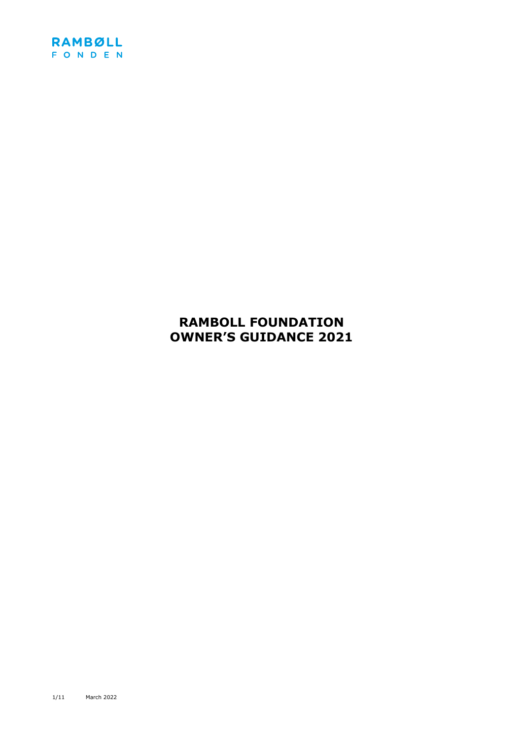

# **RAMBOLL FOUNDATION OWNER'S GUIDANCE 2021**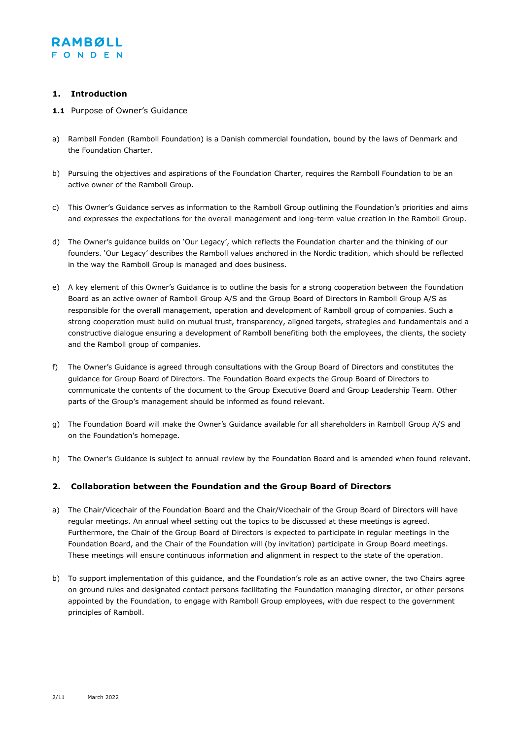

#### **1. Introduction**

- **1.1** Purpose of Owner's Guidance
- a) Rambøll Fonden (Ramboll Foundation) is a Danish commercial foundation, bound by the laws of Denmark and the Foundation Charter.
- b) Pursuing the objectives and aspirations of the Foundation Charter, requires the Ramboll Foundation to be an active owner of the Ramboll Group.
- c) This Owner's Guidance serves as information to the Ramboll Group outlining the Foundation's priorities and aims and expresses the expectations for the overall management and long-term value creation in the Ramboll Group.
- d) The Owner's guidance builds on 'Our Legacy', which reflects the Foundation charter and the thinking of our founders. 'Our Legacy' describes the Ramboll values anchored in the Nordic tradition, which should be reflected in the way the Ramboll Group is managed and does business.
- e) A key element of this Owner's Guidance is to outline the basis for a strong cooperation between the Foundation Board as an active owner of Ramboll Group A/S and the Group Board of Directors in Ramboll Group A/S as responsible for the overall management, operation and development of Ramboll group of companies. Such a strong cooperation must build on mutual trust, transparency, aligned targets, strategies and fundamentals and a constructive dialogue ensuring a development of Ramboll benefiting both the employees, the clients, the society and the Ramboll group of companies.
- f) The Owner's Guidance is agreed through consultations with the Group Board of Directors and constitutes the guidance for Group Board of Directors. The Foundation Board expects the Group Board of Directors to communicate the contents of the document to the Group Executive Board and Group Leadership Team. Other parts of the Group's management should be informed as found relevant.
- g) The Foundation Board will make the Owner's Guidance available for all shareholders in Ramboll Group A/S and on the Foundation's homepage.
- h) The Owner's Guidance is subject to annual review by the Foundation Board and is amended when found relevant.

#### **2. Collaboration between the Foundation and the Group Board of Directors**

- a) The Chair/Vicechair of the Foundation Board and the Chair/Vicechair of the Group Board of Directors will have regular meetings. An annual wheel setting out the topics to be discussed at these meetings is agreed. Furthermore, the Chair of the Group Board of Directors is expected to participate in regular meetings in the Foundation Board, and the Chair of the Foundation will (by invitation) participate in Group Board meetings. These meetings will ensure continuous information and alignment in respect to the state of the operation.
- b) To support implementation of this guidance, and the Foundation's role as an active owner, the two Chairs agree on ground rules and designated contact persons facilitating the Foundation managing director, or other persons appointed by the Foundation, to engage with Ramboll Group employees, with due respect to the government principles of Ramboll.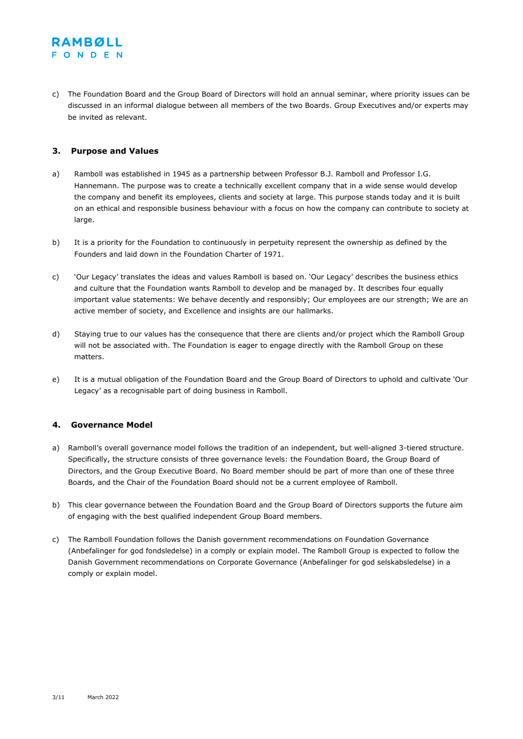

#### **3. Purpose and Values**

**RAMBØLL** FONDEN

- a) Ramboll was established in 1945 as a partnership between Professor B.J. Ramboll and Professor I.G. Hannemann. The purpose was to create a technically excellent company that in a wide sense would develop the company and benefit its employees, clients and society at large. This purpose stands today and it is built on an ethical and responsible business behaviour with a focus on how the company can contribute to society at large.
- b) It is a priority for the Foundation to continuously in perpetuity represent the ownership as defined by the Founders and laid down in the Foundation Charter of 1971.
- c) 'Our Legacy' translates the ideas and values Ramboll is based on. 'Our Legacy' describes the business ethics and culture that the Foundation wants Ramboll to develop and be managed by. It describes four equally important value statements: We behave decently and responsibly; Our employees are our strength; We are an active member of society, and Excellence and insights are our hallmarks.
- d) Staying true to our values has the consequence that there are clients and/or project which the Ramboll Group will not be associated with. The Foundation is eager to engage directly with the Ramboll Group on these matters.
- e) It is a mutual obligation of the Foundation Board and the Group Board of Directors to uphold and cultivate 'Our Legacy' as a recognisable part of doing business in Ramboll.

#### **4. Governance Model**

- a) Ramboll's overall governance model follows the tradition of an independent, but well-aligned 3-tiered structure. Specifically, the structure consists of three governance levels: the Foundation Board, the Group Board of Directors, and the Group Executive Board. No Board member should be part of more than one of these three Boards, and the Chair of the Foundation Board should not be a current employee of Ramboll.
- b) This clear governance between the Foundation Board and the Group Board of Directors supports the future aim of engaging with the best qualified independent Group Board members.
- c) The Ramboll Foundation follows the Danish government recommendations on Foundation Governance (Anbefalinger for god fondsledelse) in a comply or explain model. The Ramboll Group is expected to follow the Danish Government recommendations on Corporate Governance (Anbefalinger for god selskabsledelse) in a comply or explain model.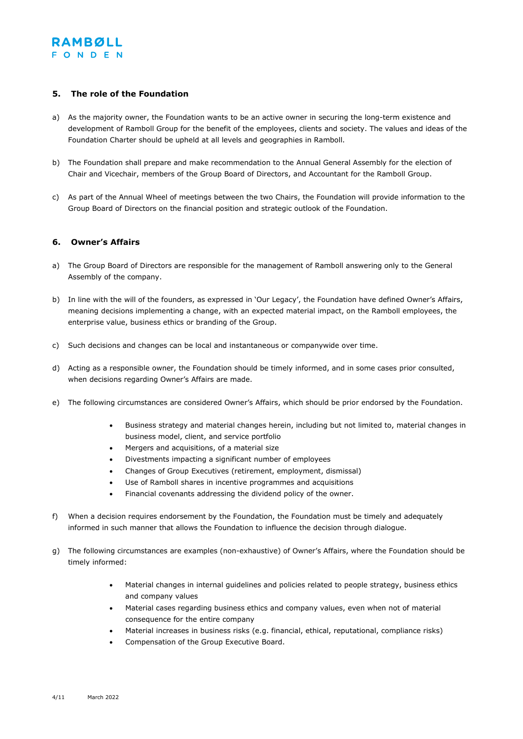

#### **5. The role of the Foundation**

- a) As the majority owner, the Foundation wants to be an active owner in securing the long-term existence and development of Ramboll Group for the benefit of the employees, clients and society. The values and ideas of the Foundation Charter should be upheld at all levels and geographies in Ramboll.
- b) The Foundation shall prepare and make recommendation to the Annual General Assembly for the election of Chair and Vicechair, members of the Group Board of Directors, and Accountant for the Ramboll Group.
- c) As part of the Annual Wheel of meetings between the two Chairs, the Foundation will provide information to the Group Board of Directors on the financial position and strategic outlook of the Foundation.

#### **6. Owner's Affairs**

- a) The Group Board of Directors are responsible for the management of Ramboll answering only to the General Assembly of the company.
- b) In line with the will of the founders, as expressed in 'Our Legacy', the Foundation have defined Owner's Affairs, meaning decisions implementing a change, with an expected material impact, on the Ramboll employees, the enterprise value, business ethics or branding of the Group.
- c) Such decisions and changes can be local and instantaneous or companywide over time.
- d) Acting as a responsible owner, the Foundation should be timely informed, and in some cases prior consulted, when decisions regarding Owner's Affairs are made.
- e) The following circumstances are considered Owner's Affairs, which should be prior endorsed by the Foundation.
	- Business strategy and material changes herein, including but not limited to, material changes in business model, client, and service portfolio
	- Mergers and acquisitions, of a material size
	- Divestments impacting a significant number of employees
	- Changes of Group Executives (retirement, employment, dismissal)
	- Use of Ramboll shares in incentive programmes and acquisitions
	- Financial covenants addressing the dividend policy of the owner.
- f) When a decision requires endorsement by the Foundation, the Foundation must be timely and adequately informed in such manner that allows the Foundation to influence the decision through dialogue.
- g) The following circumstances are examples (non-exhaustive) of Owner's Affairs, where the Foundation should be timely informed:
	- Material changes in internal guidelines and policies related to people strategy, business ethics and company values
	- Material cases regarding business ethics and company values, even when not of material consequence for the entire company
	- Material increases in business risks (e.g. financial, ethical, reputational, compliance risks)
	- Compensation of the Group Executive Board.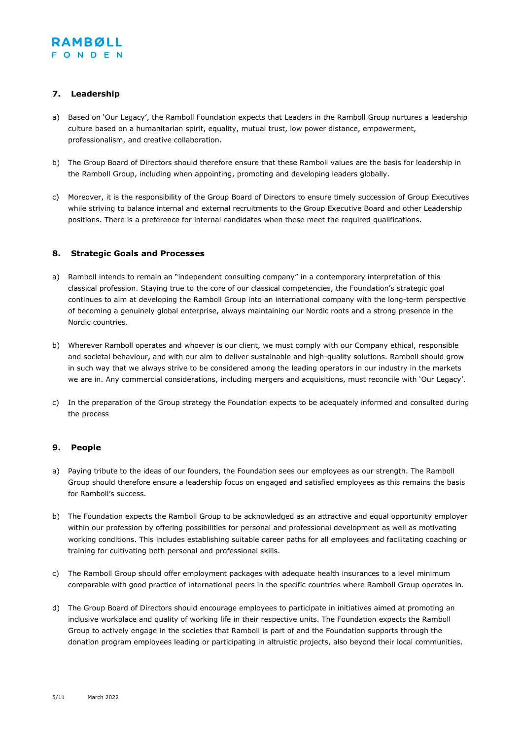## **7. Leadership**

- a) Based on 'Our Legacy', the Ramboll Foundation expects that Leaders in the Ramboll Group nurtures a leadership culture based on a humanitarian spirit, equality, mutual trust, low power distance, empowerment, professionalism, and creative collaboration.
- b) The Group Board of Directors should therefore ensure that these Ramboll values are the basis for leadership in the Ramboll Group, including when appointing, promoting and developing leaders globally.
- c) Moreover, it is the responsibility of the Group Board of Directors to ensure timely succession of Group Executives while striving to balance internal and external recruitments to the Group Executive Board and other Leadership positions. There is a preference for internal candidates when these meet the required qualifications.

## **8. Strategic Goals and Processes**

- a) Ramboll intends to remain an "independent consulting company" in a contemporary interpretation of this classical profession. Staying true to the core of our classical competencies, the Foundation's strategic goal continues to aim at developing the Ramboll Group into an international company with the long-term perspective of becoming a genuinely global enterprise, always maintaining our Nordic roots and a strong presence in the Nordic countries.
- b) Wherever Ramboll operates and whoever is our client, we must comply with our Company ethical, responsible and societal behaviour, and with our aim to deliver sustainable and high-quality solutions. Ramboll should grow in such way that we always strive to be considered among the leading operators in our industry in the markets we are in. Any commercial considerations, including mergers and acquisitions, must reconcile with 'Our Legacy'.
- c) In the preparation of the Group strategy the Foundation expects to be adequately informed and consulted during the process

#### **9. People**

- a) Paying tribute to the ideas of our founders, the Foundation sees our employees as our strength. The Ramboll Group should therefore ensure a leadership focus on engaged and satisfied employees as this remains the basis for Ramboll's success.
- b) The Foundation expects the Ramboll Group to be acknowledged as an attractive and equal opportunity employer within our profession by offering possibilities for personal and professional development as well as motivating working conditions. This includes establishing suitable career paths for all employees and facilitating coaching or training for cultivating both personal and professional skills.
- c) The Ramboll Group should offer employment packages with adequate health insurances to a level minimum comparable with good practice of international peers in the specific countries where Ramboll Group operates in.
- d) The Group Board of Directors should encourage employees to participate in initiatives aimed at promoting an inclusive workplace and quality of working life in their respective units. The Foundation expects the Ramboll Group to actively engage in the societies that Ramboll is part of and the Foundation supports through the donation program employees leading or participating in altruistic projects, also beyond their local communities.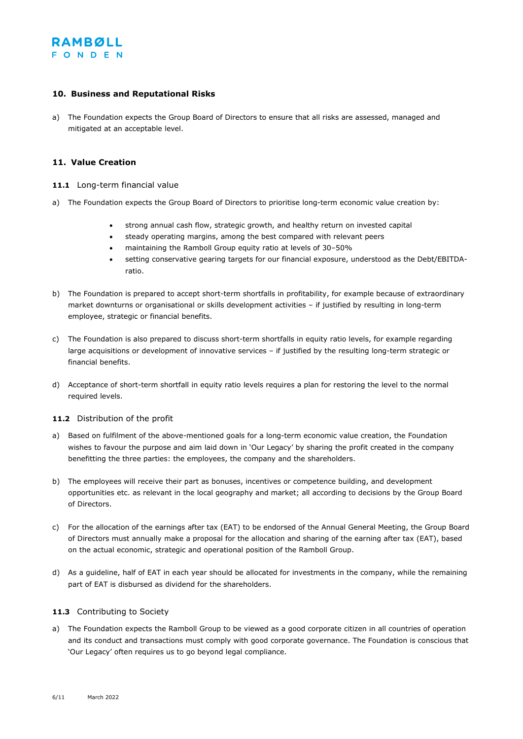

#### **10. Business and Reputational Risks**

a) The Foundation expects the Group Board of Directors to ensure that all risks are assessed, managed and mitigated at an acceptable level.

#### **11. Value Creation**

11.1 Long-term financial value

- a) The Foundation expects the Group Board of Directors to prioritise long-term economic value creation by:
	- strong annual cash flow, strategic growth, and healthy return on invested capital
	- steady operating margins, among the best compared with relevant peers
	- maintaining the Ramboll Group equity ratio at levels of 30–50%
	- setting conservative gearing targets for our financial exposure, understood as the Debt/EBITDAratio.
- b) The Foundation is prepared to accept short-term shortfalls in profitability, for example because of extraordinary market downturns or organisational or skills development activities – if justified by resulting in long-term employee, strategic or financial benefits.
- c) The Foundation is also prepared to discuss short-term shortfalls in equity ratio levels, for example regarding large acquisitions or development of innovative services – if justified by the resulting long-term strategic or financial benefits.
- d) Acceptance of short-term shortfall in equity ratio levels requires a plan for restoring the level to the normal required levels.

#### **11.2** Distribution of the profit

- a) Based on fulfilment of the above-mentioned goals for a long-term economic value creation, the Foundation wishes to favour the purpose and aim laid down in 'Our Legacy' by sharing the profit created in the company benefitting the three parties: the employees, the company and the shareholders.
- b) The employees will receive their part as bonuses, incentives or competence building, and development opportunities etc. as relevant in the local geography and market; all according to decisions by the Group Board of Directors.
- c) For the allocation of the earnings after tax (EAT) to be endorsed of the Annual General Meeting, the Group Board of Directors must annually make a proposal for the allocation and sharing of the earning after tax (EAT), based on the actual economic, strategic and operational position of the Ramboll Group.
- d) As a guideline, half of EAT in each year should be allocated for investments in the company, while the remaining part of EAT is disbursed as dividend for the shareholders.

#### 11.3 Contributing to Society

a) The Foundation expects the Ramboll Group to be viewed as a good corporate citizen in all countries of operation and its conduct and transactions must comply with good corporate governance. The Foundation is conscious that 'Our Legacy' often requires us to go beyond legal compliance.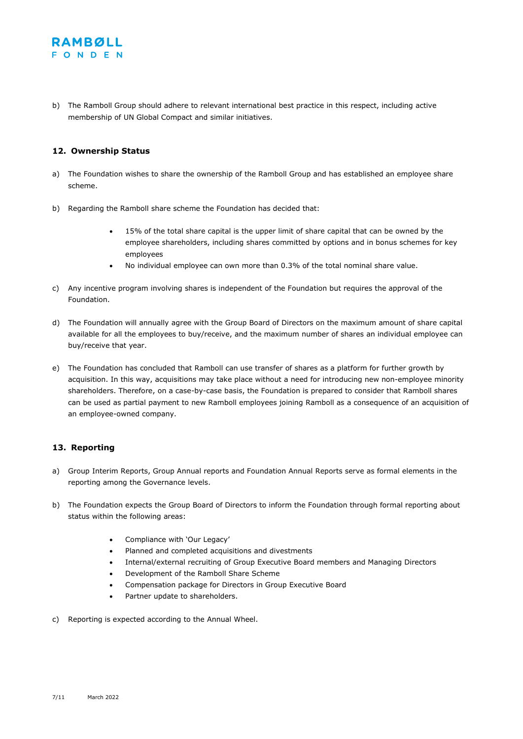

b) The Ramboll Group should adhere to relevant international best practice in this respect, including active membership of UN Global Compact and similar initiatives.

#### **12. Ownership Status**

- a) The Foundation wishes to share the ownership of the Ramboll Group and has established an employee share scheme.
- b) Regarding the Ramboll share scheme the Foundation has decided that:
	- 15% of the total share capital is the upper limit of share capital that can be owned by the employee shareholders, including shares committed by options and in bonus schemes for key employees
	- No individual employee can own more than 0.3% of the total nominal share value.
- c) Any incentive program involving shares is independent of the Foundation but requires the approval of the Foundation.
- d) The Foundation will annually agree with the Group Board of Directors on the maximum amount of share capital available for all the employees to buy/receive, and the maximum number of shares an individual employee can buy/receive that year.
- e) The Foundation has concluded that Ramboll can use transfer of shares as a platform for further growth by acquisition. In this way, acquisitions may take place without a need for introducing new non-employee minority shareholders. Therefore, on a case-by-case basis, the Foundation is prepared to consider that Ramboll shares can be used as partial payment to new Ramboll employees joining Ramboll as a consequence of an acquisition of an employee-owned company.

#### **13. Reporting**

- a) Group Interim Reports, Group Annual reports and Foundation Annual Reports serve as formal elements in the reporting among the Governance levels.
- b) The Foundation expects the Group Board of Directors to inform the Foundation through formal reporting about status within the following areas:
	- Compliance with 'Our Legacy'
	- Planned and completed acquisitions and divestments
	- Internal/external recruiting of Group Executive Board members and Managing Directors
	- Development of the Ramboll Share Scheme
	- Compensation package for Directors in Group Executive Board
	- Partner update to shareholders.
- c) Reporting is expected according to the Annual Wheel.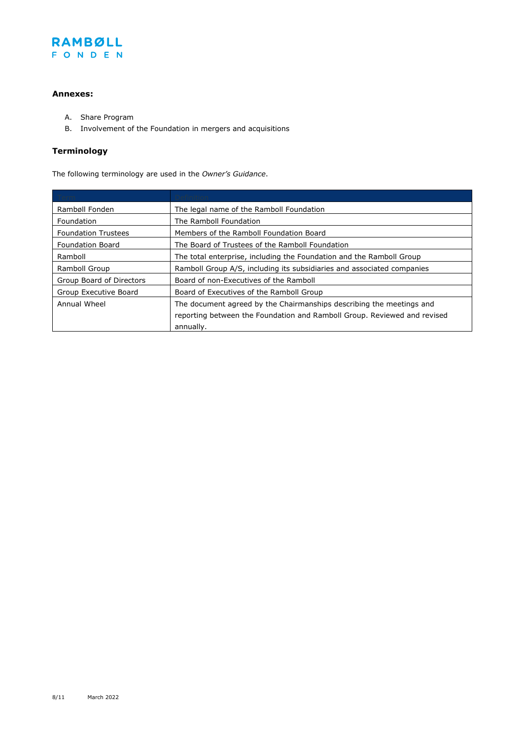

# **Annexes:**

- A. Share Program
- B. Involvement of the Foundation in mergers and acquisitions

## **Terminology**

The following terminology are used in the *Owner's Guidance*.

| Rambøll Fonden             | The legal name of the Ramboll Foundation                                 |
|----------------------------|--------------------------------------------------------------------------|
| Foundation                 | The Ramboll Foundation                                                   |
| <b>Foundation Trustees</b> | Members of the Ramboll Foundation Board                                  |
| Foundation Board           | The Board of Trustees of the Ramboll Foundation                          |
| Ramboll                    | The total enterprise, including the Foundation and the Ramboll Group     |
| Ramboll Group              | Ramboll Group A/S, including its subsidiaries and associated companies   |
| Group Board of Directors   | Board of non-Executives of the Ramboll                                   |
| Group Executive Board      | Board of Executives of the Ramboll Group                                 |
| Annual Wheel               | The document agreed by the Chairmanships describing the meetings and     |
|                            | reporting between the Foundation and Ramboll Group. Reviewed and revised |
|                            | annually.                                                                |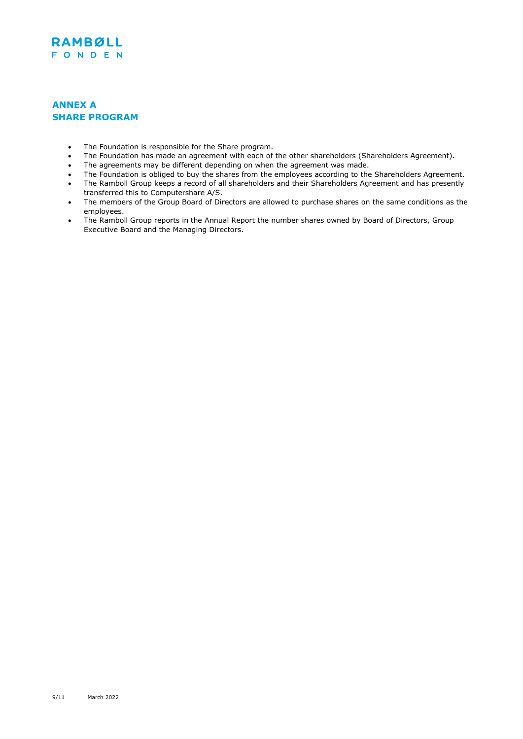

# **ANNEX A SHARE PROGRAM**

- The Foundation is responsible for the Share program.
- The Foundation has made an agreement with each of the other shareholders (Shareholders Agreement).
- The agreements may be different depending on when the agreement was made.
- The Foundation is obliged to buy the shares from the employees according to the Shareholders Agreement.
- The Ramboll Group keeps a record of all shareholders and their Shareholders Agreement and has presently transferred this to Computershare A/S.
- The members of the Group Board of Directors are allowed to purchase shares on the same conditions as the employees.
- The Ramboll Group reports in the Annual Report the number shares owned by Board of Directors, Group Executive Board and the Managing Directors.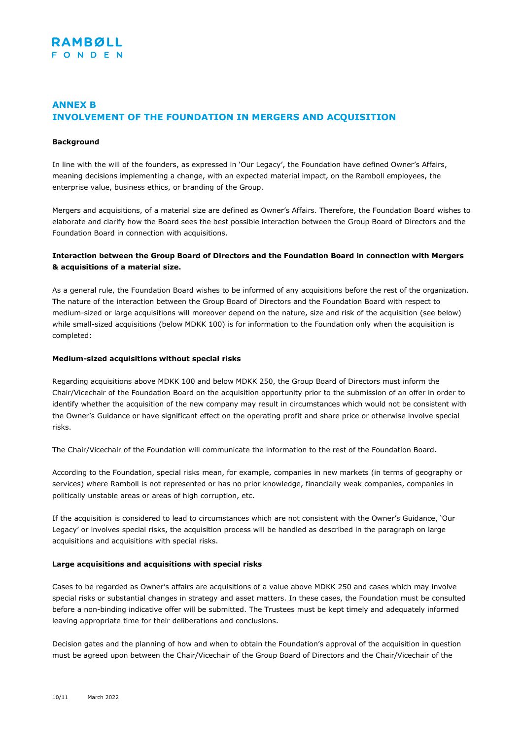# **ANNEX B INVOLVEMENT OF THE FOUNDATION IN MERGERS AND ACQUISITION**

#### **Background**

In line with the will of the founders, as expressed in 'Our Legacy', the Foundation have defined Owner's Affairs, meaning decisions implementing a change, with an expected material impact, on the Ramboll employees, the enterprise value, business ethics, or branding of the Group.

Mergers and acquisitions, of a material size are defined as Owner's Affairs. Therefore, the Foundation Board wishes to elaborate and clarify how the Board sees the best possible interaction between the Group Board of Directors and the Foundation Board in connection with acquisitions.

#### **Interaction between the Group Board of Directors and the Foundation Board in connection with Mergers & acquisitions of a material size.**

As a general rule, the Foundation Board wishes to be informed of any acquisitions before the rest of the organization. The nature of the interaction between the Group Board of Directors and the Foundation Board with respect to medium-sized or large acquisitions will moreover depend on the nature, size and risk of the acquisition (see below) while small-sized acquisitions (below MDKK 100) is for information to the Foundation only when the acquisition is completed:

#### **Medium-sized acquisitions without special risks**

Regarding acquisitions above MDKK 100 and below MDKK 250, the Group Board of Directors must inform the Chair/Vicechair of the Foundation Board on the acquisition opportunity prior to the submission of an offer in order to identify whether the acquisition of the new company may result in circumstances which would not be consistent with the Owner's Guidance or have significant effect on the operating profit and share price or otherwise involve special risks.

The Chair/Vicechair of the Foundation will communicate the information to the rest of the Foundation Board.

According to the Foundation, special risks mean, for example, companies in new markets (in terms of geography or services) where Ramboll is not represented or has no prior knowledge, financially weak companies, companies in politically unstable areas or areas of high corruption, etc.

If the acquisition is considered to lead to circumstances which are not consistent with the Owner's Guidance, 'Our Legacy' or involves special risks, the acquisition process will be handled as described in the paragraph on large acquisitions and acquisitions with special risks.

#### **Large acquisitions and acquisitions with special risks**

Cases to be regarded as Owner's affairs are acquisitions of a value above MDKK 250 and cases which may involve special risks or substantial changes in strategy and asset matters. In these cases, the Foundation must be consulted before a non-binding indicative offer will be submitted. The Trustees must be kept timely and adequately informed leaving appropriate time for their deliberations and conclusions.

Decision gates and the planning of how and when to obtain the Foundation's approval of the acquisition in question must be agreed upon between the Chair/Vicechair of the Group Board of Directors and the Chair/Vicechair of the